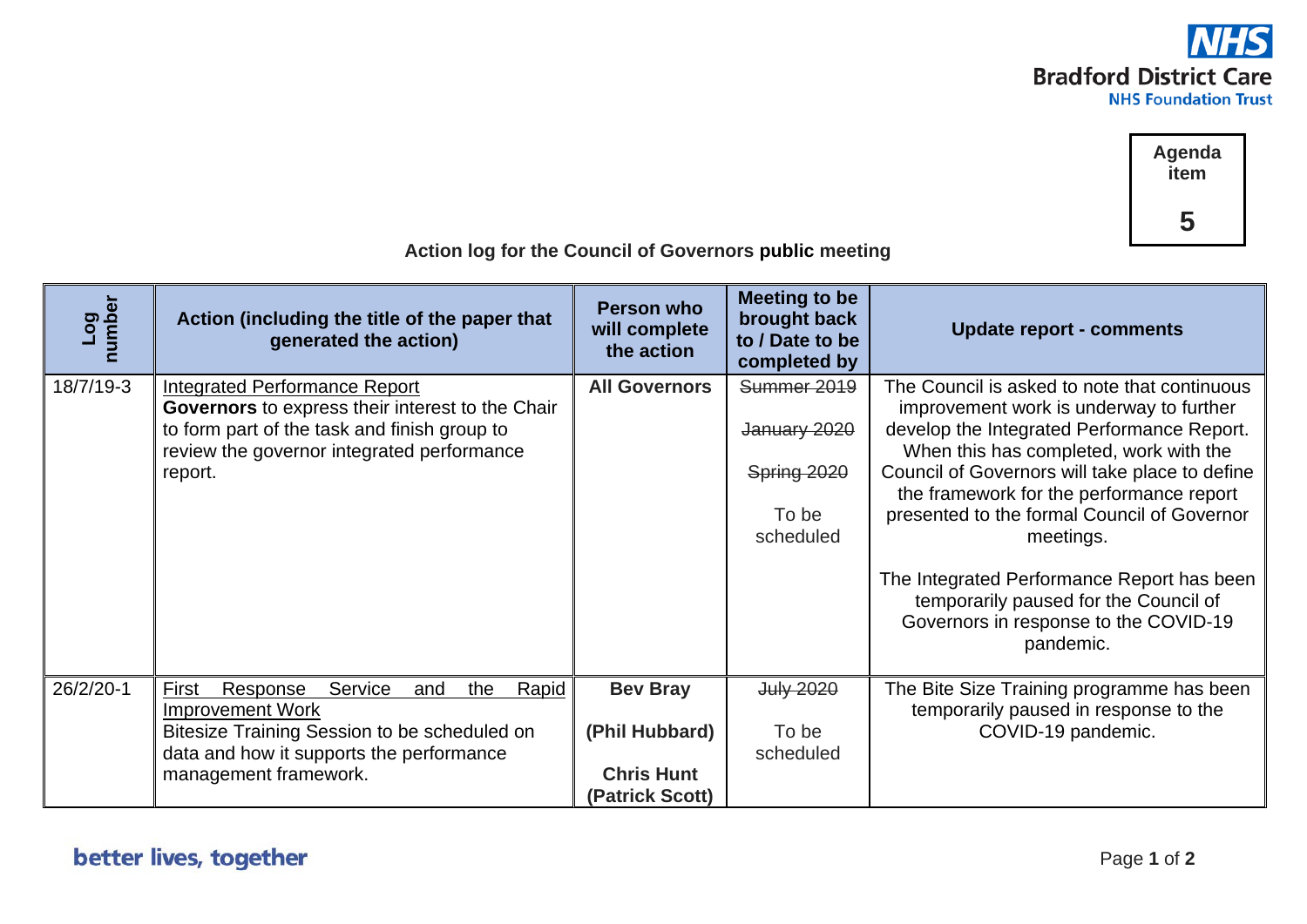



| Log<br>number | Action (including the title of the paper that<br>generated the action) | Person who<br>will complete<br>the action | <b>Meeting to be</b><br>brought back<br>to / Date to be<br>completed by | <b>Update report - comments</b>                                                                                                           |  |  |
|---------------|------------------------------------------------------------------------|-------------------------------------------|-------------------------------------------------------------------------|-------------------------------------------------------------------------------------------------------------------------------------------|--|--|
| 18/7/19-3     | <b>Integrated Performance Report</b>                                   | <b>All Governors</b>                      | Summer 2019                                                             | The Council is asked to note that continuous                                                                                              |  |  |
|               | Governors to express their interest to the Chair                       |                                           |                                                                         | improvement work is underway to further                                                                                                   |  |  |
|               | to form part of the task and finish group to                           |                                           | January 2020                                                            | develop the Integrated Performance Report.                                                                                                |  |  |
|               | review the governor integrated performance                             |                                           |                                                                         | When this has completed, work with the                                                                                                    |  |  |
|               | report.                                                                |                                           | Spring 2020                                                             | Council of Governors will take place to define<br>the framework for the performance report                                                |  |  |
|               |                                                                        |                                           | To be                                                                   | presented to the formal Council of Governor                                                                                               |  |  |
|               |                                                                        |                                           | scheduled                                                               | meetings.                                                                                                                                 |  |  |
|               |                                                                        |                                           |                                                                         |                                                                                                                                           |  |  |
|               |                                                                        |                                           |                                                                         | The Integrated Performance Report has been<br>temporarily paused for the Council of<br>Governors in response to the COVID-19<br>pandemic. |  |  |
| 26/2/20-1     | First<br>Response<br><b>Service</b><br>Rapid<br>the<br>and             | <b>Bev Bray</b>                           | <b>July 2020</b>                                                        | The Bite Size Training programme has been                                                                                                 |  |  |
|               | <b>Improvement Work</b>                                                |                                           |                                                                         | temporarily paused in response to the                                                                                                     |  |  |
|               | Bitesize Training Session to be scheduled on                           | (Phil Hubbard)                            | To be                                                                   | COVID-19 pandemic.                                                                                                                        |  |  |
|               | data and how it supports the performance                               |                                           | scheduled                                                               |                                                                                                                                           |  |  |
|               | management framework.                                                  | <b>Chris Hunt</b>                         |                                                                         |                                                                                                                                           |  |  |
|               |                                                                        | (Patrick Scott)                           |                                                                         |                                                                                                                                           |  |  |

 **Action log for the Council of Governors public meeting**

## better lives, together